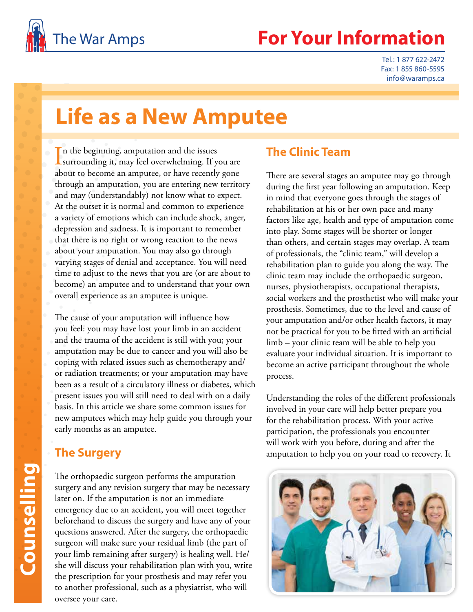

# The War Amps **For Your Information**

Tel.: 1 877 622-2472 Fax: 1 855 860-5595 info@waramps.ca

# **Life as a New Amputee**

In the beginning, amputation and the issues<br>surrounding it, may feel overwhelming. If you surrounding it, may feel overwhelming. If you are about to become an amputee, or have recently gone through an amputation, you are entering new territory and may (understandably) not know what to expect. At the outset it is normal and common to experience a variety of emotions which can include shock, anger, depression and sadness. It is important to remember that there is no right or wrong reaction to the news about your amputation. You may also go through varying stages of denial and acceptance. You will need time to adjust to the news that you are (or are about to become) an amputee and to understand that your own overall experience as an amputee is unique.

The cause of your amputation will influence how you feel: you may have lost your limb in an accident and the trauma of the accident is still with you; your amputation may be due to cancer and you will also be coping with related issues such as chemotherapy and/ or radiation treatments; or your amputation may have been as a result of a circulatory illness or diabetes, which present issues you will still need to deal with on a daily basis. In this article we share some common issues for new amputees which may help guide you through your early months as an amputee.

### **The Surgery**

The orthopaedic surgeon performs the amputation surgery and any revision surgery that may be necessary later on. If the amputation is not an immediate emergency due to an accident, you will meet together beforehand to discuss the surgery and have any of your questions answered. After the surgery, the orthopaedic surgeon will make sure your residual limb (the part of your limb remaining after surgery) is healing well. He/ she will discuss your rehabilitation plan with you, write the prescription for your prosthesis and may refer you to another professional, such as a physiatrist, who will oversee your care.

### **The Clinic Team**

There are several stages an amputee may go through during the first year following an amputation. Keep in mind that everyone goes through the stages of rehabilitation at his or her own pace and many factors like age, health and type of amputation come into play. Some stages will be shorter or longer than others, and certain stages may overlap. A team of professionals, the "clinic team," will develop a rehabilitation plan to guide you along the way. The clinic team may include the orthopaedic surgeon, nurses, physiotherapists, occupational therapists, social workers and the prosthetist who will make your prosthesis. Sometimes, due to the level and cause of your amputation and/or other health factors, it may not be practical for you to be fitted with an artificial limb – your clinic team will be able to help you evaluate your individual situation. It is important to become an active participant throughout the whole process.

Understanding the roles of the different professionals involved in your care will help better prepare you for the rehabilitation process. With your active participation, the professionals you encounter will work with you before, during and after the amputation to help you on your road to recovery. It

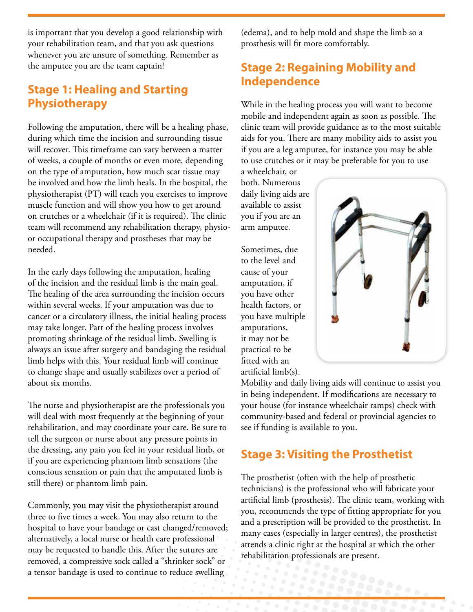is important that you develop a good relationship with your rehabilitation team, and that you ask questions whenever you are unsure of something. Remember as the amputee you are the team captain!

# **Stage 1: Healing and Starting Physiotherapy**

Following the amputation, there will be a healing phase, during which time the incision and surrounding tissue will recover. This timeframe can vary between a matter of weeks, a couple of months or even more, depending on the type of amputation, how much scar tissue may be involved and how the limb heals. In the hospital, the physiotherapist (PT) will teach you exercises to improve muscle function and will show you how to get around on crutches or a wheelchair (if it is required). The clinic team will recommend any rehabilitation therapy, physioor occupational therapy and prostheses that may be needed.

In the early days following the amputation, healing of the incision and the residual limb is the main goal. The healing of the area surrounding the incision occurs within several weeks. If your amputation was due to cancer or a circulatory illness, the initial healing process may take longer. Part of the healing process involves promoting shrinkage of the residual limb. Swelling is always an issue after surgery and bandaging the residual limb helps with this. Your residual limb will continue to change shape and usually stabilizes over a period of about six months.

The nurse and physiotherapist are the professionals you will deal with most frequently at the beginning of your rehabilitation, and may coordinate your care. Be sure to tell the surgeon or nurse about any pressure points in the dressing, any pain you feel in your residual limb, or if you are experiencing phantom limb sensations (the conscious sensation or pain that the amputated limb is still there) or phantom limb pain.

Commonly, you may visit the physiotherapist around three to five times a week. You may also return to the hospital to have your bandage or cast changed/removed; alternatively, a local nurse or health care professional may be requested to handle this. After the sutures are removed, a compressive sock called a "shrinker sock" or a tensor bandage is used to continue to reduce swelling

(edema), and to help mold and shape the limb so a prosthesis will fit more comfortably.

# **Stage 2: Regaining Mobility and Independence**

While in the healing process you will want to become mobile and independent again as soon as possible. The clinic team will provide guidance as to the most suitable aids for you. There are many mobility aids to assist you if you are a leg amputee, for instance you may be able to use crutches or it may be preferable for you to use

a wheelchair, or both. Numerous daily living aids are available to assist you if you are an arm amputee.

Sometimes, due to the level and cause of your amputation, if you have other health factors, or you have multiple amputations, it may not be practical to be fitted with an artificial limb(s).



Mobility and daily living aids will continue to assist you in being independent. If modifications are necessary to your house (for instance wheelchair ramps) check with community-based and federal or provincial agencies to see if funding is available to you.

# **Stage 3: Visiting the Prosthetist**

The prosthetist (often with the help of prosthetic technicians) is the professional who will fabricate your artificial limb (prosthesis). The clinic team, working with you, recommends the type of fitting appropriate for you and a prescription will be provided to the prosthetist. In many cases (especially in larger centres), the prosthetist attends a clinic right at the hospital at which the other rehabilitation professionals are present.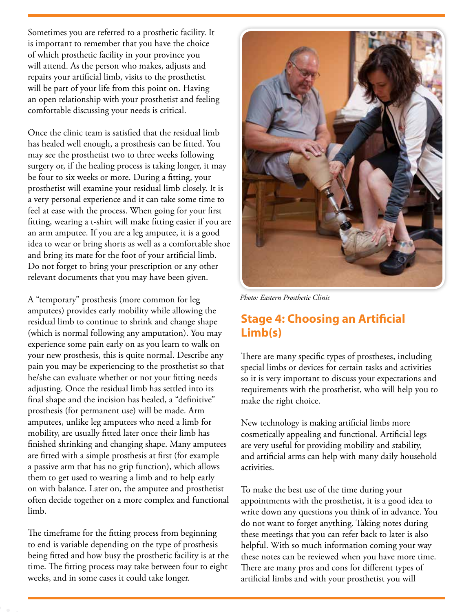Sometimes you are referred to a prosthetic facility. It is important to remember that you have the choice of which prosthetic facility in your province you will attend. As the person who makes, adjusts and repairs your artificial limb, visits to the prosthetist will be part of your life from this point on. Having an open relationship with your prosthetist and feeling comfortable discussing your needs is critical.

Once the clinic team is satisfied that the residual limb has healed well enough, a prosthesis can be fitted. You may see the prosthetist two to three weeks following surgery or, if the healing process is taking longer, it may be four to six weeks or more. During a fitting, your prosthetist will examine your residual limb closely. It is a very personal experience and it can take some time to feel at ease with the process. When going for your first fitting, wearing a t-shirt will make fitting easier if you are an arm amputee. If you are a leg amputee, it is a good idea to wear or bring shorts as well as a comfortable shoe and bring its mate for the foot of your artificial limb. Do not forget to bring your prescription or any other relevant documents that you may have been given.

A "temporary" prosthesis (more common for leg amputees) provides early mobility while allowing the residual limb to continue to shrink and change shape (which is normal following any amputation). You may experience some pain early on as you learn to walk on your new prosthesis, this is quite normal. Describe any pain you may be experiencing to the prosthetist so that he/she can evaluate whether or not your fitting needs adjusting. Once the residual limb has settled into its final shape and the incision has healed, a "definitive" prosthesis (for permanent use) will be made. Arm amputees, unlike leg amputees who need a limb for mobility, are usually fitted later once their limb has finished shrinking and changing shape. Many amputees are fitted with a simple prosthesis at first (for example a passive arm that has no grip function), which allows them to get used to wearing a limb and to help early on with balance. Later on, the amputee and prosthetist often decide together on a more complex and functional limb.

The timeframe for the fitting process from beginning to end is variable depending on the type of prosthesis being fitted and how busy the prosthetic facility is at the time. The fitting process may take between four to eight weeks, and in some cases it could take longer.



*Photo: Eastern Prosthetic Clinic*

# **Stage 4: Choosing an Artificial Limb(s)**

There are many specific types of prostheses, including special limbs or devices for certain tasks and activities so it is very important to discuss your expectations and requirements with the prosthetist, who will help you to make the right choice.

New technology is making artificial limbs more cosmetically appealing and functional. Artificial legs are very useful for providing mobility and stability, and artificial arms can help with many daily household activities.

To make the best use of the time during your appointments with the prosthetist, it is a good idea to write down any questions you think of in advance. You do not want to forget anything. Taking notes during these meetings that you can refer back to later is also helpful. With so much information coming your way these notes can be reviewed when you have more time. There are many pros and cons for different types of artificial limbs and with your prosthetist you will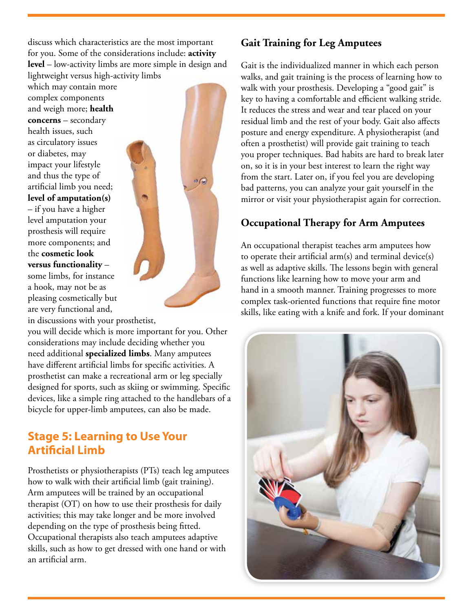discuss which characteristics are the most important for you. Some of the considerations include: **activity level** – low-activity limbs are more simple in design and lightweight versus high-activity limbs

which may contain more complex components and weigh more; **health concerns** – secondary health issues, such as circulatory issues or diabetes, may impact your lifestyle and thus the type of artificial limb you need; **level of amputation(s)** – if you have a higher level amputation your prosthesis will require more components; and the **cosmetic look versus functionality** – some limbs, for instance a hook, may not be as pleasing cosmetically but are very functional and,

in discussions with your prosthetist,

you will decide which is more important for you. Other considerations may include deciding whether you need additional **specialized limbs**. Many amputees have different artificial limbs for specific activities. A prosthetist can make a recreational arm or leg specially designed for sports, such as skiing or swimming. Specific devices, like a simple ring attached to the handlebars of a bicycle for upper-limb amputees, can also be made.

### **Stage 5: Learning to Use Your Artificial Limb**

Prosthetists or physiotherapists (PTs) teach leg amputees how to walk with their artificial limb (gait training). Arm amputees will be trained by an occupational therapist (OT) on how to use their prosthesis for daily activities; this may take longer and be more involved depending on the type of prosthesis being fitted. Occupational therapists also teach amputees adaptive skills, such as how to get dressed with one hand or with an artificial arm.

#### **Gait Training for Leg Amputees**

Gait is the individualized manner in which each person walks, and gait training is the process of learning how to walk with your prosthesis. Developing a "good gait" is key to having a comfortable and efficient walking stride. It reduces the stress and wear and tear placed on your residual limb and the rest of your body. Gait also affects posture and energy expenditure. A physiotherapist (and often a prosthetist) will provide gait training to teach you proper techniques. Bad habits are hard to break later on, so it is in your best interest to learn the right way from the start. Later on, if you feel you are developing bad patterns, you can analyze your gait yourself in the mirror or visit your physiotherapist again for correction.

#### **Occupational Therapy for Arm Amputees**

An occupational therapist teaches arm amputees how to operate their artificial arm $(s)$  and terminal device $(s)$ as well as adaptive skills. The lessons begin with general functions like learning how to move your arm and hand in a smooth manner. Training progresses to more complex task-oriented functions that require fine motor skills, like eating with a knife and fork. If your dominant